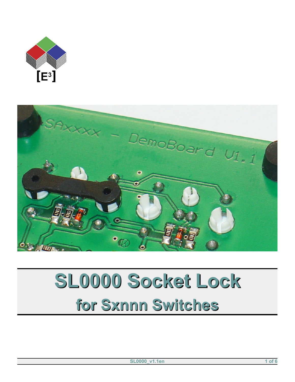



# SL0000 Socket Lock for Sxnnn Switches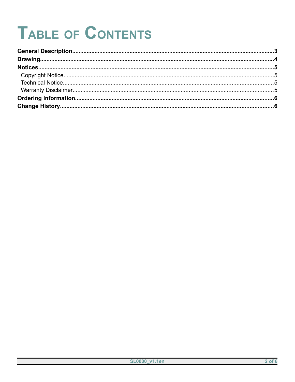## **TABLE OF CONTENTS**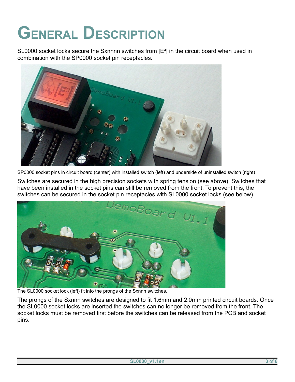## <span id="page-2-0"></span>**GENERAL DESCRIPTION**

SL0000 socket locks secure the Sxnnnn switches from  $[**E**<sup>3</sup>]$  in the circuit board when used in combination with the SP0000 socket pin receptacles.



SP0000 socket pins in circuit board (center) with installed switch (left) and underside of uninstalled switch (right)

Switches are secured in the high precision sockets with spring tension (see above). Switches that have been installed in the socket pins can still be removed from the front. To prevent this, the switches can be secured in the socket pin receptacles with SL0000 socket locks (see below).



The SL0000 socket lock (left) fit into the prongs of the Sxnnn switches.

The prongs of the Sxnnn switches are designed to fit 1.6mm and 2.0mm printed circuit boards. Once the SL0000 socket locks are inserted the switches can no longer be removed from the front. The socket locks must be removed first before the switches can be released from the PCB and socket pins.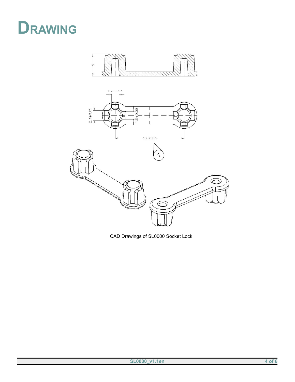<span id="page-3-0"></span>





CAD Drawings of SL0000 Socket Lock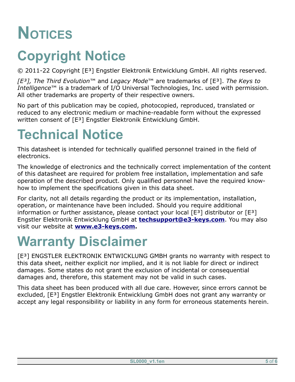### <span id="page-4-3"></span>**NOTICES**

#### <span id="page-4-2"></span>**Copyright Notice**

© 2011-22 Copyright [E³] Engstler Elektronik Entwicklung GmbH. All rights reserved.

*[E³], The Third Evolution*™ and *Legacy Mode*™ are trademarks of [E³]. *The Keys to Intelligence*™ is a trademark of I/O Universal Technologies, Inc. used with permission. All other trademarks are property of their respective owners.

No part of this publication may be copied, photocopied, reproduced, translated or reduced to any electronic medium or machine-readable form without the expressed written consent of [E<sup>3</sup>] Engstler Elektronik Entwicklung GmbH.

#### <span id="page-4-1"></span>**Technical Notice**

This datasheet is intended for technically qualified personnel trained in the field of electronics.

The knowledge of electronics and the technically correct implementation of the content of this datasheet are required for problem free installation, implementation and safe operation of the described product. Only qualified personnel have the required knowhow to implement the specifications given in this data sheet.

For clarity, not all details regarding the product or its implementation, installation, operation, or maintenance have been included. Should you require additional information or further assistance, please contact your local  $[E^3]$  distributor or  $[E^3]$ Engstler Elektronik Entwicklung GmbH at **[techsupport@e3-keys.com](mailto:techsupport@e3-keys.com)**. You may also visit our website at **[www.e3-keys.com](http://www.e3-keys.com/).**

#### <span id="page-4-0"></span>**Warranty Disclaimer**

[E<sup>3</sup>] ENGSTLER ELEKTRONIK ENTWICKLUNG GMBH grants no warranty with respect to this data sheet, neither explicit nor implied, and it is not liable for direct or indirect damages. Some states do not grant the exclusion of incidental or consequential damages and, therefore, this statement may not be valid in such cases.

This data sheet has been produced with all due care. However, since errors cannot be excluded, [E<sup>3</sup>] Engstler Elektronik Entwicklung GmbH does not grant any warranty or accept any legal responsibility or liability in any form for erroneous statements herein.